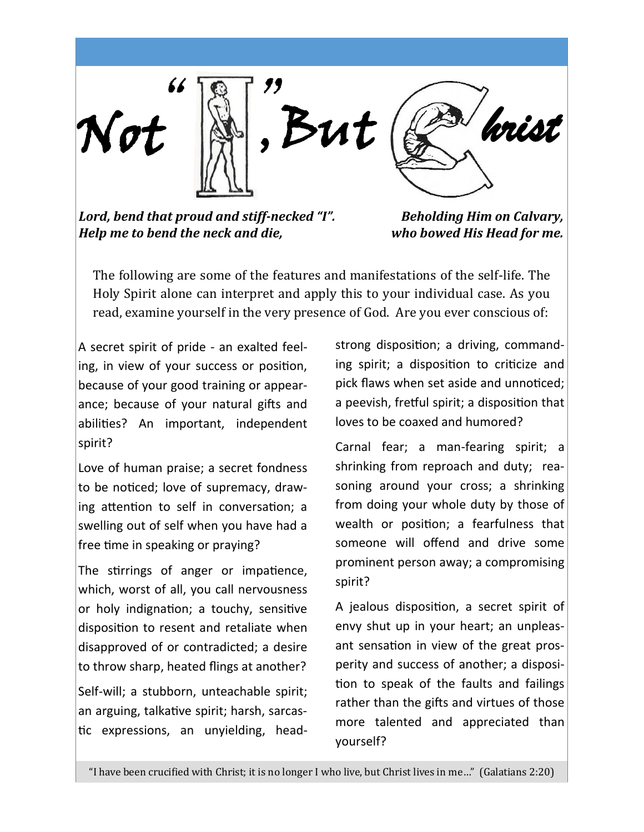Not *hrist*   $\mathbb{R}$  " , But

*Lord, bend that proud and stiff-necked "I". Help me to bend the neck and die,*

*Beholding Him on Calvary, who bowed His Head for me.*

The following are some of the features and manifestations of the self-life. The Holy Spirit alone can interpret and apply this to your individual case. As you read, examine yourself in the very presence of God. Are you ever conscious of:

A secret spirit of pride - an exalted feeling, in view of your success or position, because of your good training or appearance; because of your natural gifts and abilities? An important, independent spirit?

Love of human praise; a secret fondness to be noticed; love of supremacy, drawing attention to self in conversation; a swelling out of self when you have had a free time in speaking or praying?

The stirrings of anger or impatience, which, worst of all, you call nervousness or holy indignation; a touchy, sensitive disposition to resent and retaliate when disapproved of or contradicted; a desire to throw sharp, heated flings at another?

Self-will; a stubborn, unteachable spirit; an arguing, talkative spirit; harsh, sarcastic expressions, an unyielding, headstrong disposition; a driving, commanding spirit; a disposition to criticize and pick flaws when set aside and unnoticed; a peevish, fretful spirit; a disposition that loves to be coaxed and humored?

Carnal fear; a man-fearing spirit; a shrinking from reproach and duty; reasoning around your cross; a shrinking from doing your whole duty by those of wealth or position; a fearfulness that someone will offend and drive some prominent person away; a compromising spirit?

A jealous disposition, a secret spirit of envy shut up in your heart; an unpleasant sensation in view of the great prosperity and success of another; a disposition to speak of the faults and failings rather than the gifts and virtues of those more talented and appreciated than yourself?

"I have been crucified with Christ; it is no longer I who live, but Christ lives in me…" (Galatians 2:20)